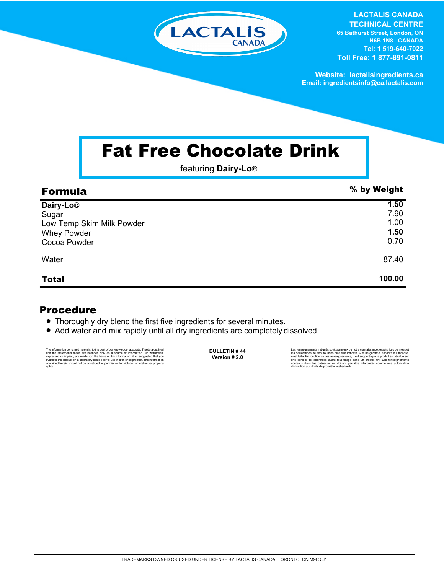

**LACTALIS CANADA TECHNICAL CENTRE 65 Bathurst Street, London, ON N6B 1N8 CANADA Tel: 1 519-640-7022 Toll Free: 1 877-891-0811**

**Website: lactalisingredients.ca Email: ingredientsinfo@ca.lactalis.com**

## Fat Free Chocolate Drink

featuring **Dairy-Lo**®

| <b>Formula</b>            | % by Weight |
|---------------------------|-------------|
| Dairy-Lo <sup>®</sup>     | 1.50        |
| Sugar                     | 7.90        |
| Low Temp Skim Milk Powder | 1.00        |
| <b>Whey Powder</b>        | 1.50        |
| Cocoa Powder              | 0.70        |
| Water                     | 87.40       |
| <b>Total</b>              | 100.00      |

## Procedure

- Thoroughly dry blend the first five ingredients for several minutes.
- Add water and mix rapidly until all dry ingredients are completely dissolved

The information contained herein is, to the best of our knowledge, accurate. The data cutlined the statements made are intended only as a source of information. No warranties, expressed or implied, are made. On the basis o

**BULLETIN # 44 Version # 2.0**

Les rensejonements indiqués sont, au mieux de notre connaissance, exacts. Les données et<br>les déclarations ne sont fournies qu'à titre indicatif. Aucune garantie, explicite ou implicite,<br>riest faite. En fonction de ces rens